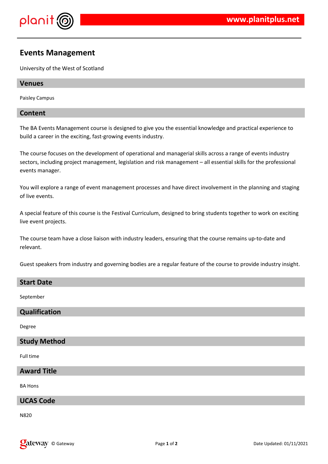

# **Events Management**

University of the West of Scotland

# **Venues**

Paisley Campus

# **Content**

The BA Events Management course is designed to give you the essential knowledge and practical experience to build a career in the exciting, fast-growing events industry.

The course focuses on the development of operational and managerial skills across a range of events industry sectors, including project management, legislation and risk management – all essential skills for the professional events manager.

You will explore a range of event management processes and have direct involvement in the planning and staging of live events.

A special feature of this course is the Festival Curriculum, designed to bring students together to work on exciting live event projects.

The course team have a close liaison with industry leaders, ensuring that the course remains up-to-date and relevant.

Guest speakers from industry and governing bodies are a regular feature of the course to provide industry insight.

#### **Start Date**

September

# **Qualification**

Degree

#### **Study Method**

Full time

# **Award Title**

BA Hons

# **UCAS Code**

N820